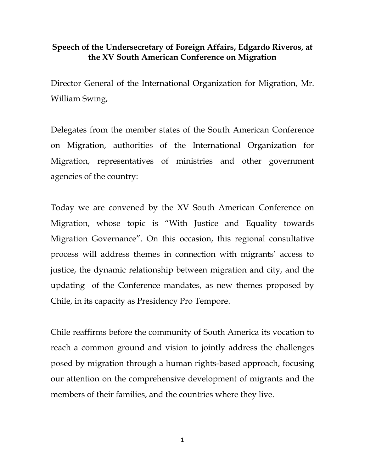## **Speech of the Undersecretary of Foreign Affairs, Edgardo Riveros, at the XV South American Conference on Migration**

Director General of the International Organization for Migration, Mr. William Swing,

Delegates from the member states of the South American Conference on Migration, authorities of the International Organization for Migration, representatives of ministries and other government agencies of the country:

Today we are convened by the XV South American Conference on Migration, whose topic is "With Justice and Equality towards Migration Governance". On this occasion, this regional consultative process will address themes in connection with migrants' access to justice, the dynamic relationship between migration and city, and the updating of the Conference mandates, as new themes proposed by Chile, in its capacity as Presidency Pro Tempore.

Chile reaffirms before the community of South America its vocation to reach a common ground and vision to jointly address the challenges posed by migration through a human rights-based approach, focusing our attention on the comprehensive development of migrants and the members of their families, and the countries where they live.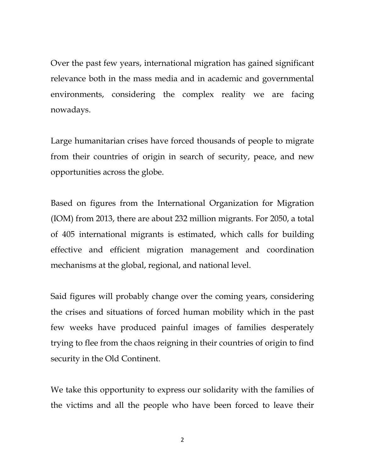Over the past few years, international migration has gained significant relevance both in the mass media and in academic and governmental environments, considering the complex reality we are facing nowadays.

Large humanitarian crises have forced thousands of people to migrate from their countries of origin in search of security, peace, and new opportunities across the globe.

Based on figures from the International Organization for Migration (IOM) from 2013, there are about 232 million migrants. For 2050, a total of 405 international migrants is estimated, which calls for building effective and efficient migration management and coordination mechanisms at the global, regional, and national level.

Said figures will probably change over the coming years, considering the crises and situations of forced human mobility which in the past few weeks have produced painful images of families desperately trying to flee from the chaos reigning in their countries of origin to find security in the Old Continent.

We take this opportunity to express our solidarity with the families of the victims and all the people who have been forced to leave their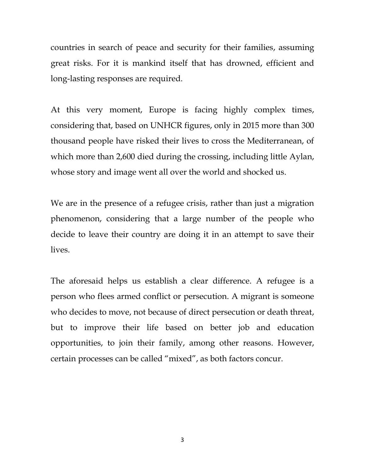countries in search of peace and security for their families, assuming great risks. For it is mankind itself that has drowned, efficient and long-lasting responses are required.

At this very moment, Europe is facing highly complex times, considering that, based on UNHCR figures, only in 2015 more than 300 thousand people have risked their lives to cross the Mediterranean, of which more than 2,600 died during the crossing, including little Aylan, whose story and image went all over the world and shocked us.

We are in the presence of a refugee crisis, rather than just a migration phenomenon, considering that a large number of the people who decide to leave their country are doing it in an attempt to save their lives.

The aforesaid helps us establish a clear difference. A refugee is a person who flees armed conflict or persecution. A migrant is someone who decides to move, not because of direct persecution or death threat, but to improve their life based on better job and education opportunities, to join their family, among other reasons. However, certain processes can be called "mixed", as both factors concur.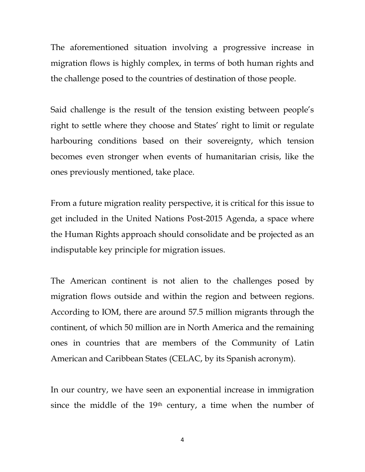The aforementioned situation involving a progressive increase in migration flows is highly complex, in terms of both human rights and the challenge posed to the countries of destination of those people.

Said challenge is the result of the tension existing between people's right to settle where they choose and States' right to limit or regulate harbouring conditions based on their sovereignty, which tension becomes even stronger when events of humanitarian crisis, like the ones previously mentioned, take place.

From a future migration reality perspective, it is critical for this issue to get included in the United Nations Post-2015 Agenda, a space where the Human Rights approach should consolidate and be projected as an indisputable key principle for migration issues.

The American continent is not alien to the challenges posed by migration flows outside and within the region and between regions. According to IOM, there are around 57.5 million migrants through the continent, of which 50 million are in North America and the remaining ones in countries that are members of the Community of Latin American and Caribbean States (CELAC, by its Spanish acronym).

In our country, we have seen an exponential increase in immigration since the middle of the 19<sup>th</sup> century, a time when the number of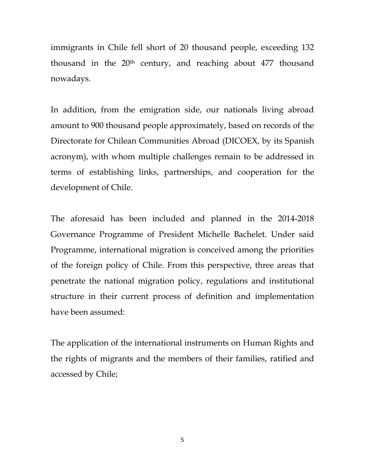immigrants in Chile fell short of 20 thousand people, exceeding 132 thousand in the  $20<sup>th</sup>$  century, and reaching about  $477$  thousand nowadays.

In addition, from the emigration side, our nationals living abroad amount to 900 thousand people approximately, based on records of the Directorate for Chilean Communities Abroad (DICOEX, by its Spanish acronym), with whom multiple challenges remain to be addressed in terms of establishing links, partnerships, and cooperation for the development of Chile.

The aforesaid has been included and planned in the 2014-2018 Governance Programme of President Michelle Bachelet. Under said Programme, international migration is conceived among the priorities of the foreign policy of Chile. From this perspective, three areas that penetrate the national migration policy, regulations and institutional structure in their current process of definition and implementation have been assumed:

The application of the international instruments on Human Rights and the rights of migrants and the members of their families, ratified and accessed by Chile;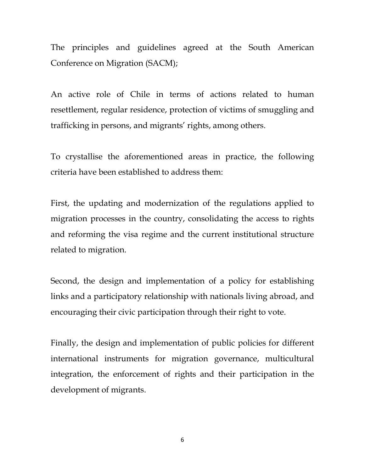The principles and guidelines agreed at the South American Conference on Migration (SACM);

An active role of Chile in terms of actions related to human resettlement, regular residence, protection of victims of smuggling and trafficking in persons, and migrants' rights, among others.

To crystallise the aforementioned areas in practice, the following criteria have been established to address them:

First, the updating and modernization of the regulations applied to migration processes in the country, consolidating the access to rights and reforming the visa regime and the current institutional structure related to migration.

Second, the design and implementation of a policy for establishing links and a participatory relationship with nationals living abroad, and encouraging their civic participation through their right to vote.

Finally, the design and implementation of public policies for different international instruments for migration governance, multicultural integration, the enforcement of rights and their participation in the development of migrants.

6